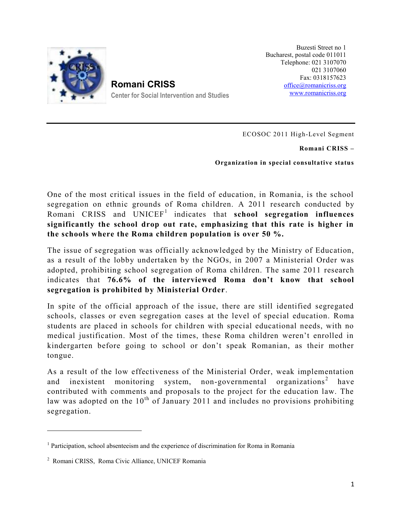

**Romani CRISS Roma Center for Social Intervention and Studies**

Buzesti Street no 1 Bucharest, postal code 011011 Telephone: 021 3107070 021 3107060 Fax: 0318157623 office@romanicriss.org www.romanicriss.org

ECOSOC 2011 High-Level Segment

**Romani CRISS –**

**Organization in special consultative status**

One of the most critical issues in the field of education, in Romania, is the school segregation on ethnic grounds of Roma children. A 2011 research conducted by Romani CRISS and UNICEF<sup>1</sup> indicates that **school segregation influences significantly the school drop out rate, emphasizing that this rate is higher in the schools where the Roma children population is over 50 %.**

The issue of segregation was officially acknowledged by the Ministry of Education, as a result of the lobby undertaken by the NGOs, in 2007 a Ministerial Order was adopted, prohibiting school segregation of Roma children. The same 2011 research indicates that **76.6% of the interviewed Roma don't know that school segregation is prohibited by Ministerial Order**.

In spite of the official approach of the issue, there are still identified segregated schools, classes or even segregation cases at the level of special education. Roma students are placed in schools for children with special educational needs, with no medical justification. Most of the times, these Roma children weren't enrolled in kindergarten before going to school or don't speak Romanian, as their mother tongue.

As a result of the low effectiveness of the Ministerial Order, weak implementation and inexistent monitoring system, non-governmental organizations<sup>2</sup> have contributed with comments and proposals to the project for the education law. The law was adopted on the  $10^{th}$  of January 2011 and includes no provisions prohibiting segregation.

<sup>&</sup>lt;sup>1</sup> Participation, school absenteeism and the experience of discrimination for Roma in Romania

<sup>2</sup> Romani CRISS, Roma Civic Alliance, UNICEF Romania